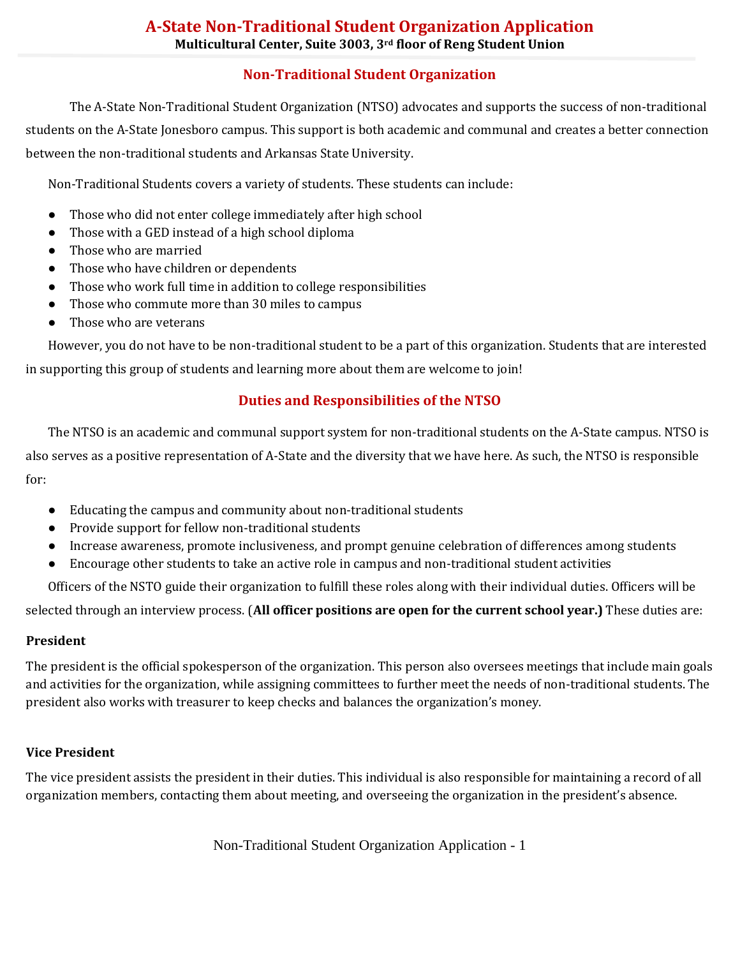## **Non-Traditional Student Organization**

The A-State Non-Traditional Student Organization (NTSO) advocates and supports the success of non-traditional students on the A-State Jonesboro campus. This support is both academic and communal and creates a better connection between the non-traditional students and Arkansas State University.

Non-Traditional Students covers a variety of students. These students can include:

- Those who did not enter college immediately after high school
- Those with a GED instead of a high school diploma
- Those who are married
- Those who have children or dependents
- Those who work full time in addition to college responsibilities
- Those who commute more than 30 miles to campus
- Those who are veterans

However, you do not have to be non-traditional student to be a part of this organization. Students that are interested in supporting this group of students and learning more about them are welcome to join!

## **Duties and Responsibilities of the NTSO**

The NTSO is an academic and communal support system for non-traditional students on the A-State campus. NTSO is also serves as a positive representation of A-State and the diversity that we have here. As such, the NTSO is responsible for:

- Educating the campus and community about non-traditional students
- Provide support for fellow non-traditional students
- Increase awareness, promote inclusiveness, and prompt genuine celebration of differences among students
- Encourage other students to take an active role in campus and non-traditional student activities

Officers of the NSTO guide their organization to fulfill these roles along with their individual duties. Officers will be

selected through an interview process. (**All officer positions are open for the current school year.)** These duties are:

## **President**

The president is the official spokesperson of the organization. This person also oversees meetings that include main goals and activities for the organization, while assigning committees to further meet the needs of non-traditional students. The president also works with treasurer to keep checks and balances the organization's money.

## **Vice President**

The vice president assists the president in their duties. This individual is also responsible for maintaining a record of all organization members, contacting them about meeting, and overseeing the organization in the president's absence.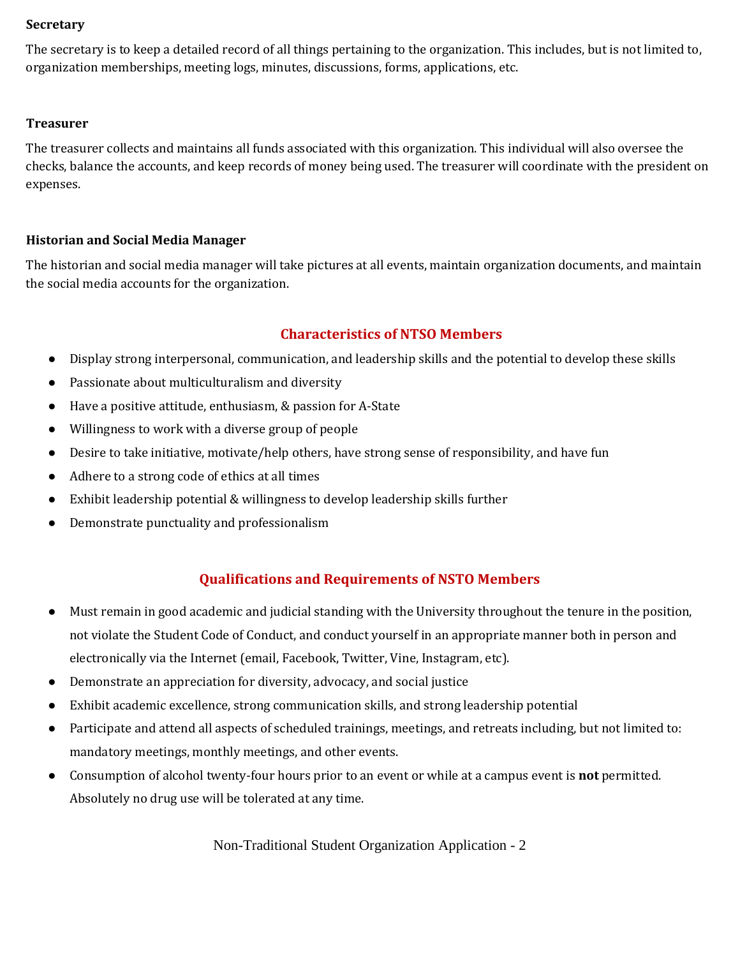#### **Secretary**

The secretary is to keep a detailed record of all things pertaining to the organization. This includes, but is not limited to, organization memberships, meeting logs, minutes, discussions, forms, applications, etc.

#### **Treasurer**

The treasurer collects and maintains all funds associated with this organization. This individual will also oversee the checks, balance the accounts, and keep records of money being used. The treasurer will coordinate with the president on expenses.

## **Historian and Social Media Manager**

The historian and social media manager will take pictures at all events, maintain organization documents, and maintain the social media accounts for the organization.

## **Characteristics of NTSO Members**

- Display strong interpersonal, communication, and leadership skills and the potential to develop these skills
- Passionate about multiculturalism and diversity
- Have a positive attitude, enthusiasm, & passion for A-State
- Willingness to work with a diverse group of people
- Desire to take initiative, motivate/help others, have strong sense of responsibility, and have fun
- Adhere to a strong code of ethics at all times
- Exhibit leadership potential & willingness to develop leadership skills further
- Demonstrate punctuality and professionalism

## **Qualifications and Requirements of NSTO Members**

- Must remain in good academic and judicial standing with the University throughout the tenure in the position, not violate the Student Code of Conduct, and conduct yourself in an appropriate manner both in person and electronically via the Internet (email, Facebook, Twitter, Vine, Instagram, etc).
- Demonstrate an appreciation for diversity, advocacy, and social justice
- Exhibit academic excellence, strong communication skills, and strong leadership potential
- Participate and attend all aspects of scheduled trainings, meetings, and retreats including, but not limited to: mandatory meetings, monthly meetings, and other events.
- Consumption of alcohol twenty-four hours prior to an event or while at a campus event is **not** permitted. Absolutely no drug use will be tolerated at any time.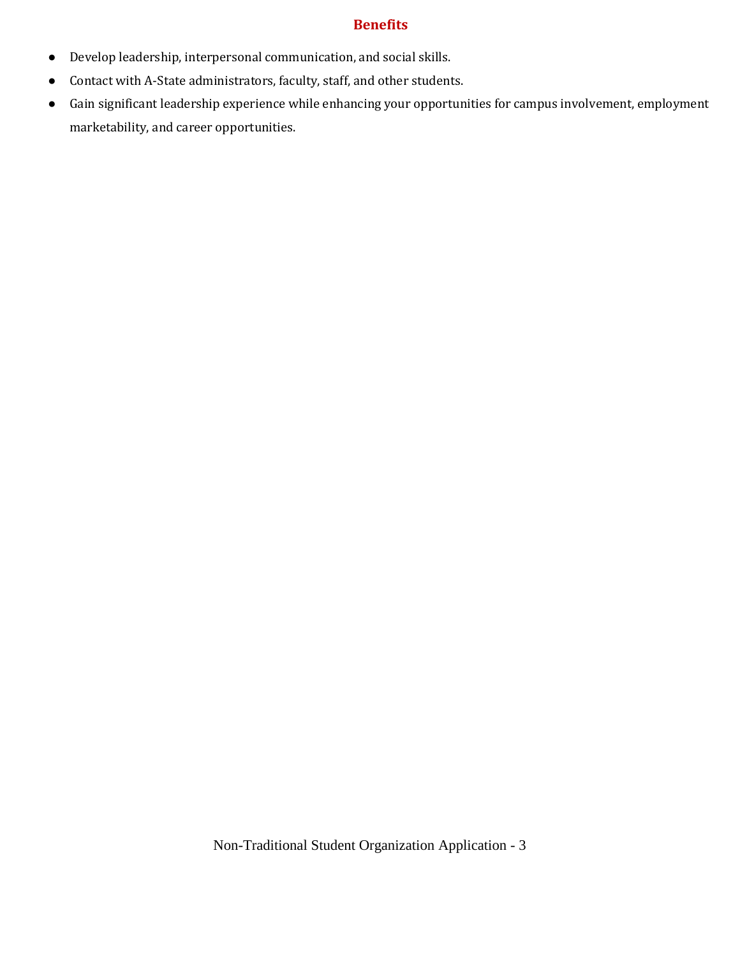#### **Benefits**

- Develop leadership, interpersonal communication, and social skills.
- Contact with A-State administrators, faculty, staff, and other students.
- Gain significant leadership experience while enhancing your opportunities for campus involvement, employment marketability, and career opportunities.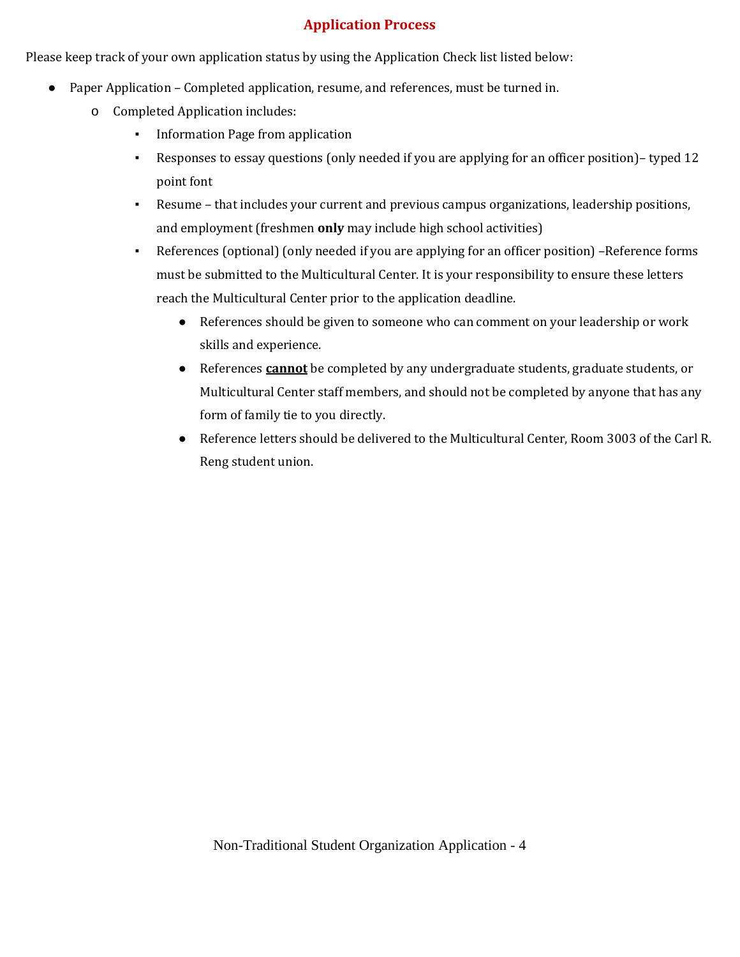## **Application Process**

Please keep track of your own application status by using the Application Check list listed below:

- Paper Application Completed application, resume, and references, must be turned in.
	- o Completed Application includes:
		- Information Page from application
		- Responses to essay questions (only needed if you are applying for an officer position)– typed 12 point font
		- Resume that includes your current and previous campus organizations, leadership positions, and employment (freshmen **only** may include high school activities)
		- References (optional) (only needed if you are applying for an officer position) –Reference forms must be submitted to the Multicultural Center. It is your responsibility to ensure these letters reach the Multicultural Center prior to the application deadline.
			- References should be given to someone who can comment on your leadership or work skills and experience.
			- References **cannot** be completed by any undergraduate students, graduate students, or Multicultural Center staff members, and should not be completed by anyone that has any form of family tie to you directly.
			- Reference letters should be delivered to the Multicultural Center, Room 3003 of the Carl R. Reng student union.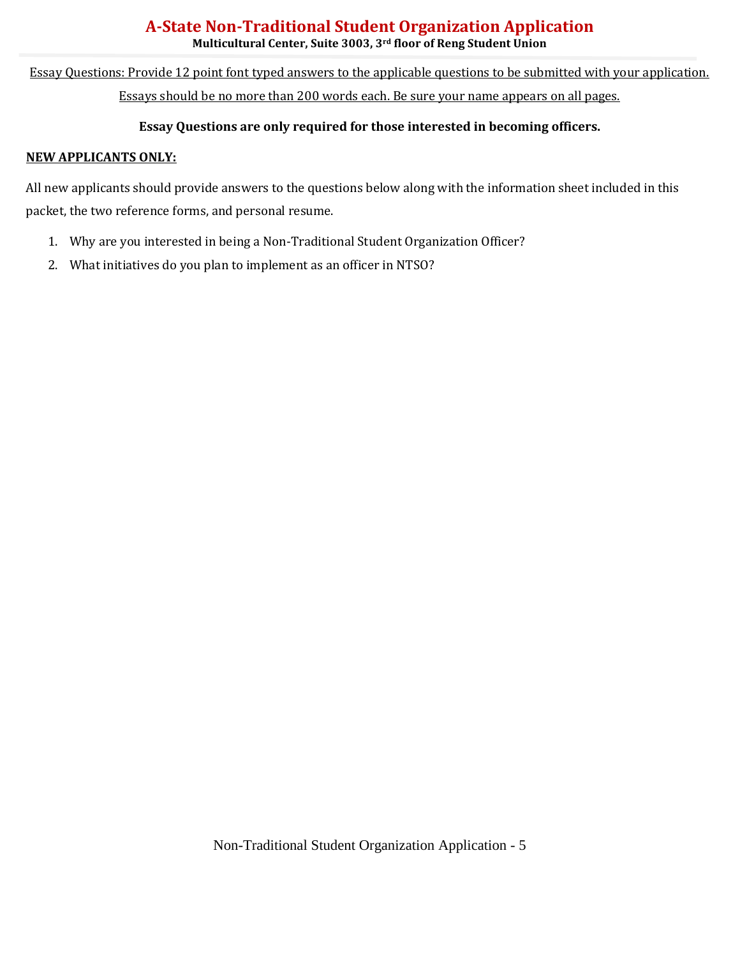## **A-State Non-Traditional Student Organization Application Multicultural Center, Suite 3003, 3rd floor of Reng Student Union**

Essay Questions: Provide 12 point font typed answers to the applicable questions to be submitted with your application. Essays should be no more than 200 words each. Be sure your name appears on all pages.

### **Essay Questions are only required for those interested in becoming officers.**

#### **NEW APPLICANTS ONLY:**

All new applicants should provide answers to the questions below along with the information sheet included in this packet, the two reference forms, and personal resume.

- 1. Why are you interested in being a Non-Traditional Student Organization Officer?
- 2. What initiatives do you plan to implement as an officer in NTSO?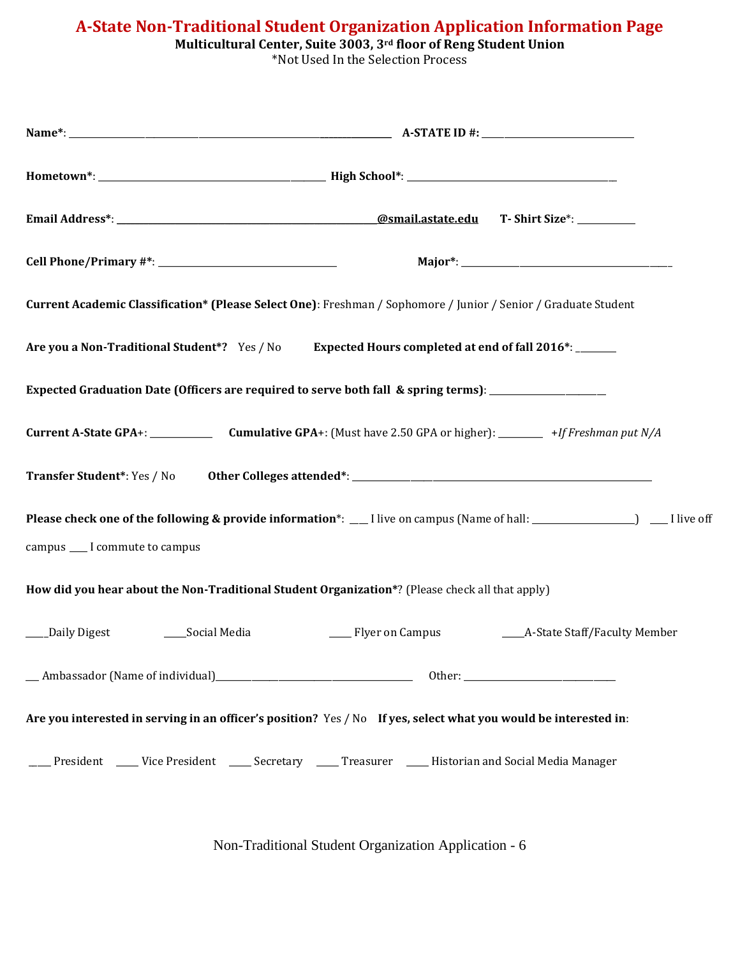**A-State Non-Traditional Student Organization Application Information Page**

|  |  | Multicultural Center, Suite 3003, 3rd floor of Reng Student Union |
|--|--|-------------------------------------------------------------------|
|  |  |                                                                   |

\*Not Used In the Selection Process

| Current Academic Classification* (Please Select One): Freshman / Sophomore / Junior / Senior / Graduate Student          |
|--------------------------------------------------------------------------------------------------------------------------|
| Are you a Non-Traditional Student*? Yes / No Expected Hours completed at end of fall 2016*: ______                       |
| Expected Graduation Date (Officers are required to serve both fall & spring terms): ________________                     |
|                                                                                                                          |
|                                                                                                                          |
| Please check one of the following & provide information*: __I live on campus (Name of hall: ______________) __I live off |
| campus ___ I commute to campus                                                                                           |
| How did you hear about the Non-Traditional Student Organization*? (Please check all that apply)                          |
| ____A-State Staff/Faculty Member<br>___Daily Digest<br>____Social Media<br>____ Flyer on Campus                          |
|                                                                                                                          |
| Are you interested in serving in an officer's position? Yes / No If yes, select what you would be interested in:         |
| President _____ Vice President ______ Secretary ______ Treasurer ______ Historian and Social Media Manager               |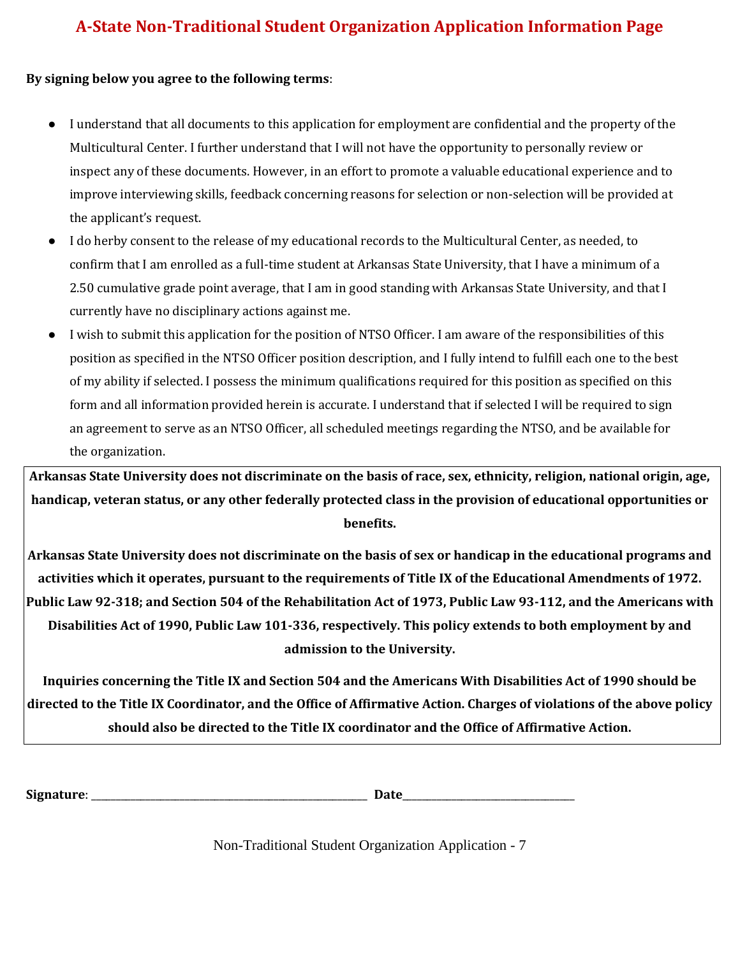# **A-State Non-Traditional Student Organization Application Information Page**

#### **By signing below you agree to the following terms**:

- I understand that all documents to this application for employment are confidential and the property of the Multicultural Center. I further understand that I will not have the opportunity to personally review or inspect any of these documents. However, in an effort to promote a valuable educational experience and to improve interviewing skills, feedback concerning reasons for selection or non-selection will be provided at the applicant's request.
- I do herby consent to the release of my educational records to the Multicultural Center, as needed, to confirm that I am enrolled as a full-time student at Arkansas State University, that I have a minimum of a 2.50 cumulative grade point average, that I am in good standing with Arkansas State University, and that I currently have no disciplinary actions against me.
- I wish to submit this application for the position of NTSO Officer. I am aware of the responsibilities of this position as specified in the NTSO Officer position description, and I fully intend to fulfill each one to the best of my ability if selected. I possess the minimum qualifications required for this position as specified on this form and all information provided herein is accurate. I understand that if selected I will be required to sign an agreement to serve as an NTSO Officer, all scheduled meetings regarding the NTSO, and be available for the organization.

**Arkansas State University does not discriminate on the basis of race, sex, ethnicity, religion, national origin, age, handicap, veteran status, or any other federally protected class in the provision of educational opportunities or benefits.**

**Arkansas State University does not discriminate on the basis of sex or handicap in the educational programs and activities which it operates, pursuant to the requirements of Title IX of the Educational Amendments of 1972. Public Law 92-318; and Section 504 of the Rehabilitation Act of 1973, Public Law 93-112, and the Americans with Disabilities Act of 1990, Public Law 101-336, respectively. This policy extends to both employment by and admission to the University.**

**Inquiries concerning the Title IX and Section 504 and the Americans With Disabilities Act of 1990 should be directed to the Title IX Coordinator, and the Office of Affirmative Action. Charges of violations of the above policy should also be directed to the Title IX coordinator and the Office of Affirmative Action.**

**Signature**: \_\_\_\_\_\_\_\_\_\_\_\_\_\_\_\_\_\_\_\_\_\_\_\_\_\_\_\_\_\_\_\_\_\_\_\_\_\_\_\_\_\_\_\_\_\_\_\_\_\_\_\_\_\_\_\_ **Date**\_\_\_\_\_\_\_\_\_\_\_\_\_\_\_\_\_\_\_\_\_\_\_\_\_\_\_\_\_\_\_\_\_\_\_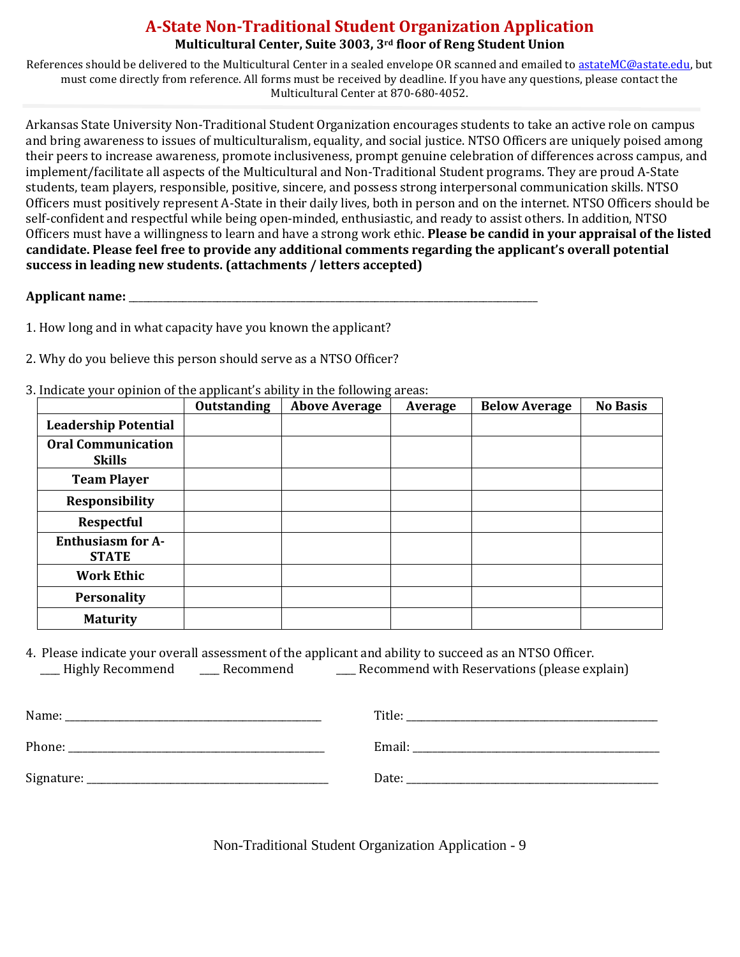## **A-State Non-Traditional Student Organization Application Multicultural Center, Suite 3003, 3rd floor of Reng Student Union**

References should be delivered to the Multicultural Center in a sealed envelope OR scanned and emailed to [astateMC@astate.edu,](mailto:astateMC@astate.edu) but must come directly from reference. All forms must be received by deadline. If you have any questions, please contact the Multicultural Center at 870-680-4052.

Arkansas State University Non-Traditional Student Organization encourages students to take an active role on campus and bring awareness to issues of multiculturalism, equality, and social justice. NTSO Officers are uniquely poised among their peers to increase awareness, promote inclusiveness, prompt genuine celebration of differences across campus, and implement/facilitate all aspects of the Multicultural and Non-Traditional Student programs. They are proud A-State students, team players, responsible, positive, sincere, and possess strong interpersonal communication skills. NTSO Officers must positively represent A-State in their daily lives, both in person and on the internet. NTSO Officers should be self-confident and respectful while being open-minded, enthusiastic, and ready to assist others. In addition, NTSO Officers must have a willingness to learn and have a strong work ethic. **Please be candid in your appraisal of the listed candidate. Please feel free to provide any additional comments regarding the applicant's overall potential success in leading new students. (attachments / letters accepted)**

#### **Applicant name:** \_\_\_\_\_\_\_\_\_\_\_\_\_\_\_\_\_\_\_\_\_\_\_\_\_\_\_\_\_\_\_\_\_\_\_\_\_\_\_\_\_\_\_\_\_\_\_\_\_\_\_\_\_\_\_\_\_\_\_\_\_\_\_\_\_\_\_\_\_\_\_\_\_\_\_\_\_\_\_\_\_\_\_

1. How long and in what capacity have you known the applicant?

- 2. Why do you believe this person should serve as a NTSO Officer?
- 3. Indicate your opinion of the applicant's ability in the following areas:

|                                            | . .<br><b>Outstanding</b> | ັ<br><b>Above Average</b> | Average | <b>Below Average</b> | <b>No Basis</b> |
|--------------------------------------------|---------------------------|---------------------------|---------|----------------------|-----------------|
| <b>Leadership Potential</b>                |                           |                           |         |                      |                 |
| <b>Oral Communication</b><br><b>Skills</b> |                           |                           |         |                      |                 |
| <b>Team Player</b>                         |                           |                           |         |                      |                 |
| Responsibility                             |                           |                           |         |                      |                 |
| <b>Respectful</b>                          |                           |                           |         |                      |                 |
| <b>Enthusiasm for A-</b><br><b>STATE</b>   |                           |                           |         |                      |                 |
| <b>Work Ethic</b>                          |                           |                           |         |                      |                 |
| Personality                                |                           |                           |         |                      |                 |
| <b>Maturity</b>                            |                           |                           |         |                      |                 |

4. Please indicate your overall assessment of the applicant and ability to succeed as an NTSO Officer. \_\_\_\_ Highly Recommend \_\_\_\_ Recommend \_\_\_\_ Recommend with Reservations (please explain)

| Name:      | Title: |
|------------|--------|
| Phone:     | Email: |
| Signature: | Date:  |